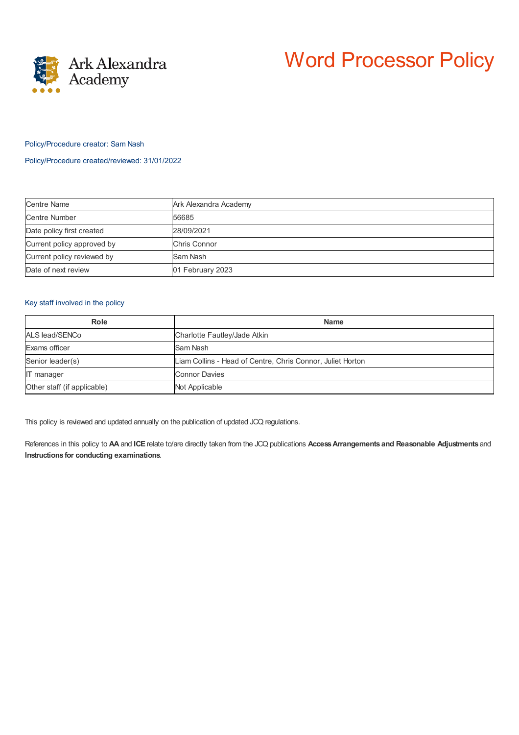



### Policy/Procedure creator: Sam Nash

#### Policy/Procedure created/reviewed: 31/01/2022

| <b>Centre Name</b>         | Ark Alexandra Academy |
|----------------------------|-----------------------|
| Centre Number              | 56685                 |
| Date policy first created  | 28/09/2021            |
| Current policy approved by | Chris Connor          |
| Current policy reviewed by | Sam Nash              |
| Date of next review        | 01 February 2023      |

### Key staff involved in the policy

| Role                        | <b>Name</b>                                                |
|-----------------------------|------------------------------------------------------------|
| ALS lead/SENCo              | Charlotte Fautley/Jade Atkin                               |
| Exams officer               | Sam Nash                                                   |
| Senior leader(s)            | Liam Collins - Head of Centre, Chris Connor, Juliet Horton |
| <b>IT</b> manager           | <b>Connor Davies</b>                                       |
| Other staff (if applicable) | Not Applicable                                             |

This policy is reviewed and updated annually on the publication of updated JCQ regulations.

References in this policy to **AA** and **ICE** relate to/are directly taken from the JCQ publications **AccessArrangements and Reasonable Adjustments** and **Instructions for conducting examinations**.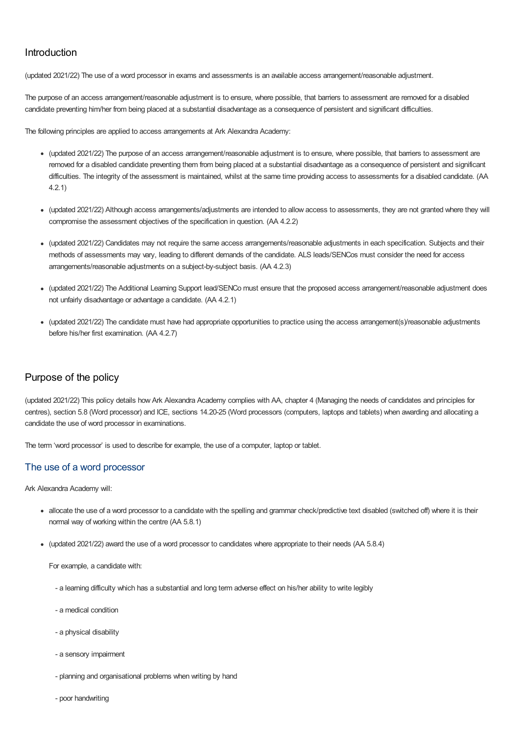# Introduction

(updated 2021/22) The use of a word processor in exams and assessments is an available access arrangement/reasonable adjustment.

The purpose of an access arrangement/reasonable adjustment is to ensure, where possible, that barriers to assessment are removed for a disabled candidate preventing him/her from being placed at a substantial disadvantage as a consequence of persistent and significant difficulties.

The following principles are applied to access arrangements at Ark Alexandra Academy:

- (updated 2021/22) The purpose of an access arrangement/reasonable adjustment is to ensure, where possible, that barriers to assessment are removed for a disabled candidate preventing them from being placed at a substantial disadvantage as a consequence of persistent and significant difficulties. The integrity of the assessment is maintained, whilst at the same time providing access to assessments for a disabled candidate. (AA 4.2.1)
- (updated 2021/22) Although access arrangements/adjustments are intended to allow access to assessments, they are not granted where they will compromise the assessment objectives of the specification in question. (AA 4.2.2)
- (updated 2021/22) Candidates may not require the same access arrangements/reasonable adjustments in each specification. Subjects and their methods of assessments may vary, leading to different demands of the candidate. ALS leads/SENCos must consider the need for access arrangements/reasonable adjustments on a subject-by-subject basis. (AA 4.2.3)
- (updated 2021/22) The Additional Learning Support lead/SENCo must ensure that the proposed access arrangement/reasonable adjustment does not unfairly disadvantage or advantage a candidate. (AA 4.2.1)
- (updated 2021/22) The candidate must have had appropriate opportunities to practice using the access arrangement(s)/reasonable adjustments before his/her first examination. (AA 4.2.7)

# Purpose of the policy

(updated 2021/22) This policy details how Ark Alexandra Academy complies with AA, chapter 4 (Managing the needs of candidates and principles for centres), section 5.8 (Word processor) and ICE, sections 14.20-25 (Word processors (computers, laptops and tablets) when awarding and allocating a candidate the use of word processor in examinations.

The term 'word processor' is used to describe for example, the use of a computer, laptop or tablet.

## The use of a word processor

Ark Alexandra Academy will:

- allocate the use of a word processor to a candidate with the spelling and grammar check/predictive text disabled (switched off) where it is their normal way of working within the centre (AA 5.8.1)
- (updated 2021/22) award the use of a word processor to candidates where appropriate to their needs (AA 5.8.4)

For example, a candidate with:

- a learning difficulty which has a substantial and long term adverse effect on his/her ability to write legibly
- a medical condition
- a physical disability
- a sensory impairment
- planning and organisational problems when writing by hand
- poor handwriting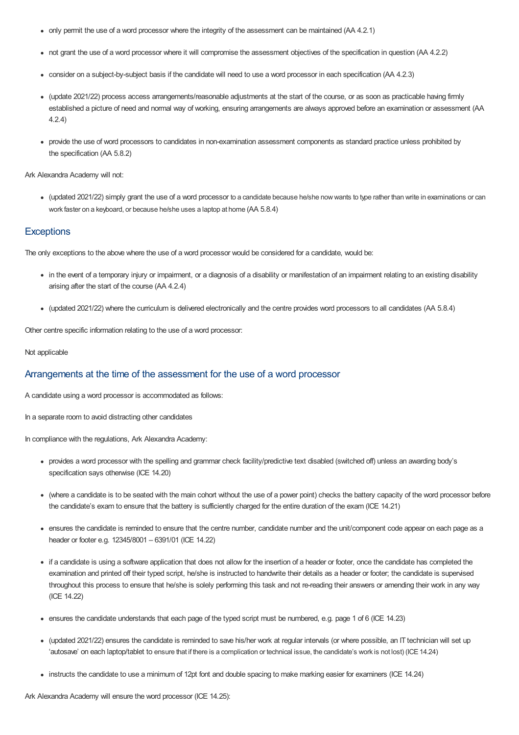- only permit the use of a word processor where the integrity of the assessment can be maintained (AA 4.2.1)
- not grant the use of a word processor where it will compromise the assessment objectives of the specification in question (AA 4.2.2)
- consider on a subject-by-subject basis if the candidate will need to use a word processor in each specification (AA 4.2.3)
- (update 2021/22) process access arrangements/reasonable adjustments at the start of the course, or as soon as practicable having firmly established a picture of need and normal way of working, ensuring arrangements are always approved before an examination or assessment (AA 4.2.4)
- provide the use of word processors to candidates in non-examination assessment components as standard practice unless prohibited by the specification (AA 5.8.2)

Ark Alexandra Academy will not:

• (updated 2021/22) simply grant the use of a word processor to a candidate because he/she now wants to type rather than write in examinations or can work faster on a keyboard, or because he/she uses a laptop at home (AA 5.8.4)

#### **Exceptions**

The only exceptions to the above where the use of a word processor would be considered for a candidate, would be:

- in the event of a temporary injury or impairment, or a diagnosis of a disability or manifestation of an impairment relating to an existing disability arising after the start of the course (AA 4.2.4)
- (updated 2021/22) where the curriculum is delivered electronically and the centre provides word processors to all candidates (AA 5.8.4)

Other centre specific information relating to the use of a word processor:

#### Not applicable

### Arrangements at the time of the assessment for the use of a word processor

A candidate using a word processor is accommodated as follows:

In a separate room to avoid distracting other candidates

In compliance with the regulations, Ark Alexandra Academy:

- provides a word processor with the spelling and grammar check facility/predictive text disabled (switched off) unless an awarding body's specification says otherwise (ICE 14.20)
- (where a candidate is to be seated with the main cohort without the use of a power point) checks the battery capacity of the word processor before the candidate's exam to ensure that the battery is sufficiently charged for the entire duration of the exam (ICE 14.21)
- ensures the candidate is reminded to ensure that the centre number, candidate number and the unit/component code appear on each page as a header or footer e.g. 12345/8001 – 6391/01 (ICE 14.22)
- if a candidate is using a software application that does not allow for the insertion of a header or footer, once the candidate has completed the examination and printed off their typed script, he/she is instructed to handwrite their details as a header or footer; the candidate is supervised throughout this process to ensure that he/she is solely performing this task and not re-reading their answers or amending their work in any way (ICE 14.22)
- ensures the candidate understands that each page of the typed script must be numbered, e.g. page 1 of 6 (ICE 14.23)
- (updated 2021/22) ensures the candidate is reminded to save his/her work at regular intervals (or where possible, an IT technician will set up 'autosave' on each laptop/tablet to ensure that if there is a complication or technical issue, the candidate's work is not lost) (ICE14.24)
- instructs the candidate to use a minimum of 12pt font and double spacing to make marking easier for examiners (ICE 14.24)

Ark Alexandra Academy will ensure the word processor (ICE 14.25):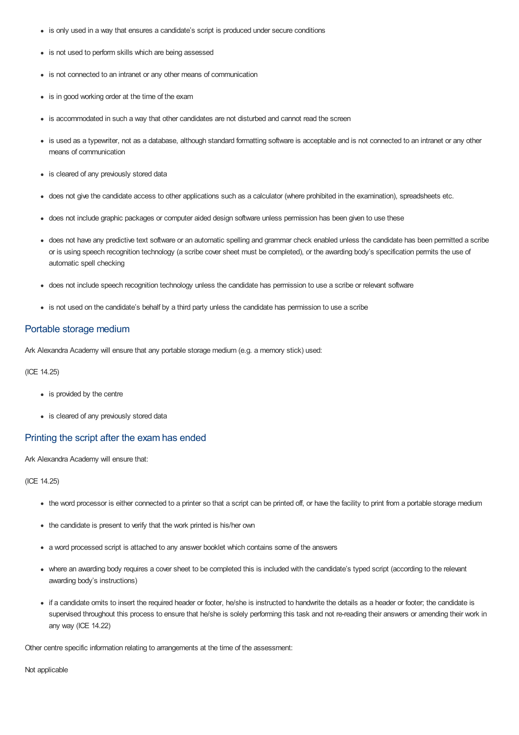- is only used in a way that ensures a candidate's script is produced under secure conditions
- is not used to perform skills which are being assessed
- is not connected to an intranet or any other means of communication
- is in good working order at the time of the exam
- is accommodated in such a way that other candidates are not disturbed and cannot read the screen
- is used as a typewriter, not as a database, although standard formatting software is acceptable and is not connected to an intranet or any other means of communication
- is cleared of any previously stored data
- does not give the candidate access to other applications such as a calculator (where prohibited in the examination), spreadsheets etc.
- does not include graphic packages or computer aided design software unless permission has been given to use these
- does not have any predictive text software or an automatic spelling and grammar check enabled unless the candidate has been permitted a scribe or is using speech recognition technology (a scribe cover sheet must be completed), or the awarding body's specification permits the use of automatic spell checking
- does not include speech recognition technology unless the candidate has permission to use a scribe or relevant software
- is not used on the candidate's behalf by a third party unless the candidate has permission to use a scribe

### Portable storage medium

Ark Alexandra Academy will ensure that any portable storage medium (e.g. a memory stick) used:

#### (ICE 14.25)

- is provided by the centre
- is cleared of any previously stored data

## Printing the script after the exam has ended

Ark Alexandra Academy will ensure that:

(ICE 14.25)

- the word processor is either connected to a printer so that a script can be printed off, or have the facility to print from a portable storage medium
- the candidate is present to verify that the work printed is his/her own
- a word processed script is attached to any answer booklet which contains some of the answers
- where an awarding body requires a cover sheet to be completed this is included with the candidate's typed script (according to the relevant awarding body's instructions)
- if a candidate omits to insert the required header or footer, he/she is instructed to handwrite the details as a header or footer; the candidate is supervised throughout this process to ensure that he/she is solely performing this task and not re-reading their answers or amending their work in any way (ICE 14.22)

Other centre specific information relating to arrangements at the time of the assessment:

Not applicable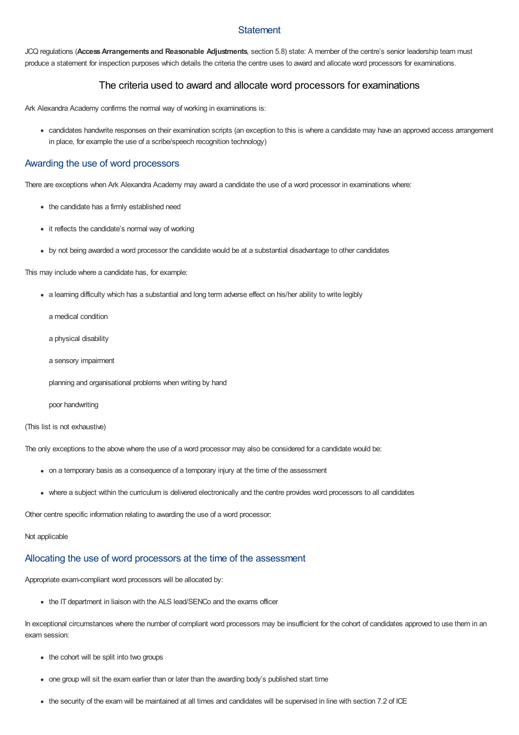## **Statement**

JCQ regulations (**AccessArrangements and Reasonable Adjustments**, section 5.8) state: A member of the centre's senior leadership team must produce a statement for inspection purposes which details the criteria the centre uses to award and allocate word processors for examinations.

## The criteria used to award and allocate word processors for examinations

Ark Alexandra Academy confirms the normal way of working in examinations is:

candidates handwrite responses on their examination scripts (an exception to this is where a candidate may have an approved access arrangement in place, for example the use of a scribe/speech recognition technology)

### Awarding the use of word processors

There are exceptions when Ark Alexandra Academy may award a candidate the use of a word processor in examinations where:

- the candidate has a firmly established need
- it reflects the candidate's normal way of working
- by not being awarded a word processor the candidate would be at a substantial disadvantage to other candidates

This may include where a candidate has, for example:

a learning difficulty which has a substantial and long term adverse effect on his/her ability to write legibly

a medical condition

- a physical disability
- a sensory impairment

planning and organisational problems when writing by hand

poor handwriting

(This list is not exhaustive)

The only exceptions to the above where the use of a word processor may also be considered for a candidate would be:

- on a temporary basis as a consequence of a temporary injury at the time of the assessment
- where a subject within the curriculum is delivered electronically and the centre provides word processors to all candidates

Other centre specific information relating to awarding the use of a word processor:

#### Not applicable

# Allocating the use of word processors at the time of the assessment

Appropriate exam-compliant word processors will be allocated by:

• the IT department in liaison with the ALS lead/SENCo and the exams officer

In exceptional circumstances where the number of compliant word processors may be insufficient for the cohort of candidates approved to use them in an exam session:

- the cohort will be split into two groups
- one group will sit the exam earlier than or later than the awarding body's published start time
- the security of the exam will be maintained at all times and candidates will be supervised in line with section 7.2 of ICE